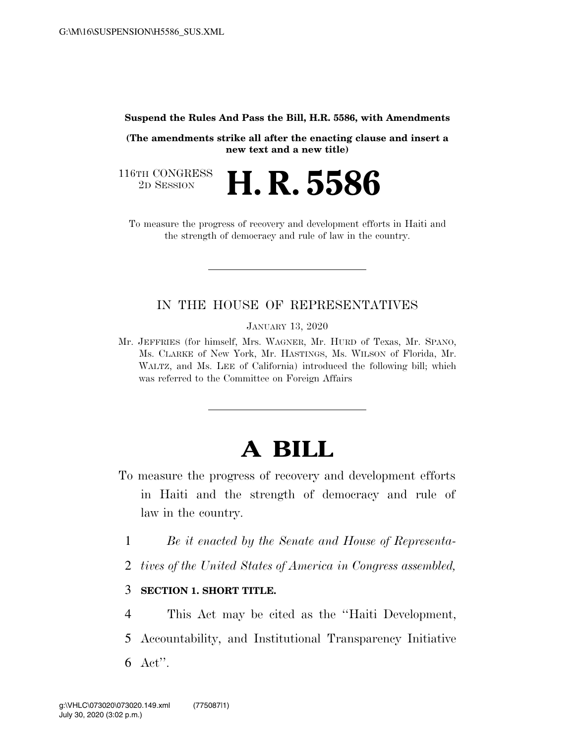**Suspend the Rules And Pass the Bill, H.R. 5586, with Amendments** 

**(The amendments strike all after the enacting clause and insert a new text and a new title)** 

116TH CONGRESS<br>2D SESSION 2D SESSION **H. R. 5586** 

To measure the progress of recovery and development efforts in Haiti and the strength of democracy and rule of law in the country.

## IN THE HOUSE OF REPRESENTATIVES

JANUARY 13, 2020

Mr. JEFFRIES (for himself, Mrs. WAGNER, Mr. HURD of Texas, Mr. SPANO, Ms. CLARKE of New York, Mr. HASTINGS, Ms. WILSON of Florida, Mr. WALTZ, and Ms. LEE of California) introduced the following bill; which was referred to the Committee on Foreign Affairs

# **A BILL**

- To measure the progress of recovery and development efforts in Haiti and the strength of democracy and rule of law in the country.
	- 1 *Be it enacted by the Senate and House of Representa-*
	- 2 *tives of the United States of America in Congress assembled,*

#### 3 **SECTION 1. SHORT TITLE.**

- 4 This Act may be cited as the ''Haiti Development,
- 5 Accountability, and Institutional Transparency Initiative 6 Act''.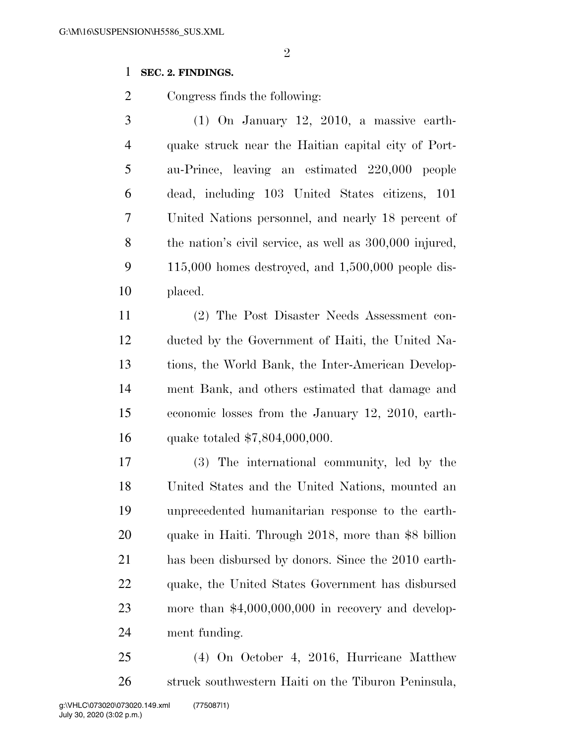## **SEC. 2. FINDINGS.**

Congress finds the following:

 (1) On January 12, 2010, a massive earth- quake struck near the Haitian capital city of Port- au-Prince, leaving an estimated 220,000 people dead, including 103 United States citizens, 101 United Nations personnel, and nearly 18 percent of the nation's civil service, as well as 300,000 injured, 115,000 homes destroyed, and 1,500,000 people dis-placed.

 (2) The Post Disaster Needs Assessment con- ducted by the Government of Haiti, the United Na- tions, the World Bank, the Inter-American Develop- ment Bank, and others estimated that damage and economic losses from the January 12, 2010, earth-quake totaled \$7,804,000,000.

 (3) The international community, led by the United States and the United Nations, mounted an unprecedented humanitarian response to the earth- quake in Haiti. Through 2018, more than \$8 billion has been disbursed by donors. Since the 2010 earth- quake, the United States Government has disbursed more than \$4,000,000,000 in recovery and develop-ment funding.

 (4) On October 4, 2016, Hurricane Matthew struck southwestern Haiti on the Tiburon Peninsula,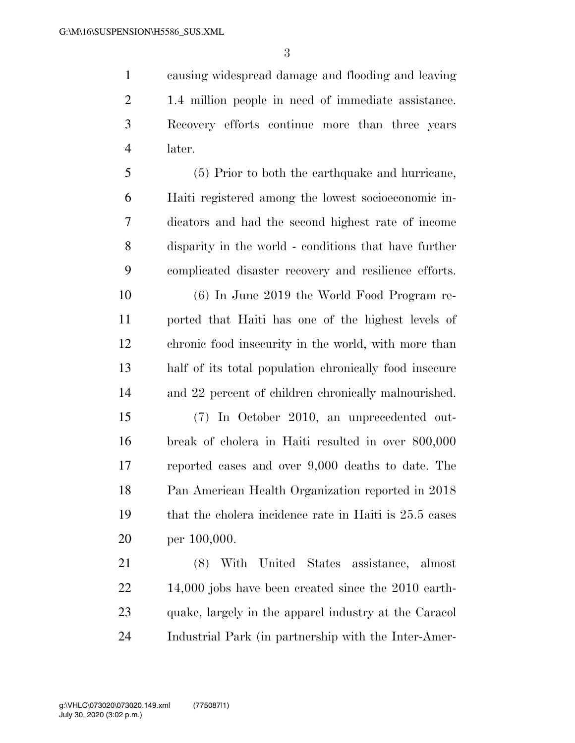causing widespread damage and flooding and leaving 1.4 million people in need of immediate assistance. Recovery efforts continue more than three years later.

 (5) Prior to both the earthquake and hurricane, Haiti registered among the lowest socioeconomic in- dicators and had the second highest rate of income disparity in the world - conditions that have further complicated disaster recovery and resilience efforts.

 (6) In June 2019 the World Food Program re- ported that Haiti has one of the highest levels of chronic food insecurity in the world, with more than half of its total population chronically food insecure and 22 percent of children chronically malnourished.

 (7) In October 2010, an unprecedented out- break of cholera in Haiti resulted in over 800,000 reported cases and over 9,000 deaths to date. The Pan American Health Organization reported in 2018 that the cholera incidence rate in Haiti is 25.5 cases per 100,000.

 (8) With United States assistance, almost 22 14,000 jobs have been created since the 2010 earth- quake, largely in the apparel industry at the Caracol Industrial Park (in partnership with the Inter-Amer-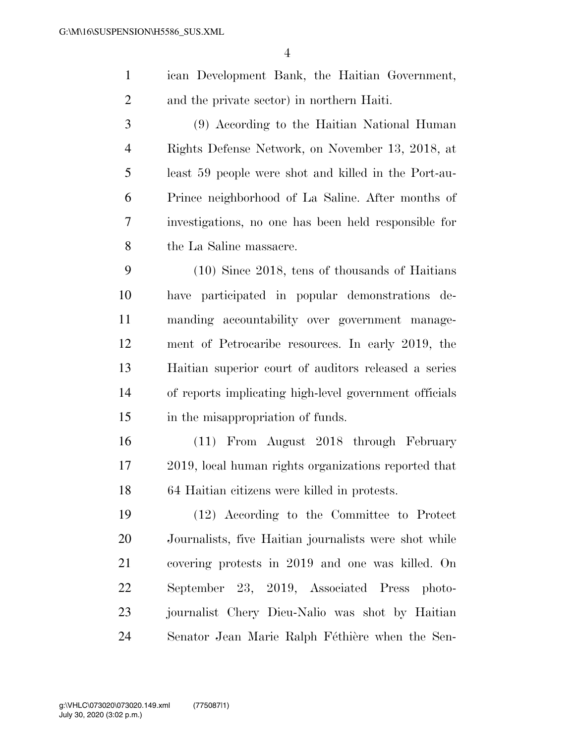ican Development Bank, the Haitian Government, and the private sector) in northern Haiti.

 (9) According to the Haitian National Human Rights Defense Network, on November 13, 2018, at least 59 people were shot and killed in the Port-au- Prince neighborhood of La Saline. After months of investigations, no one has been held responsible for the La Saline massacre.

 (10) Since 2018, tens of thousands of Haitians have participated in popular demonstrations de- manding accountability over government manage- ment of Petrocaribe resources. In early 2019, the Haitian superior court of auditors released a series of reports implicating high-level government officials 15 in the misappropriation of funds.

 (11) From August 2018 through February 2019, local human rights organizations reported that 64 Haitian citizens were killed in protests.

 (12) According to the Committee to Protect Journalists, five Haitian journalists were shot while covering protests in 2019 and one was killed. On September 23, 2019, Associated Press photo- journalist Chery Dieu-Nalio was shot by Haitian 24 Senator Jean Marie Ralph Féthière when the Sen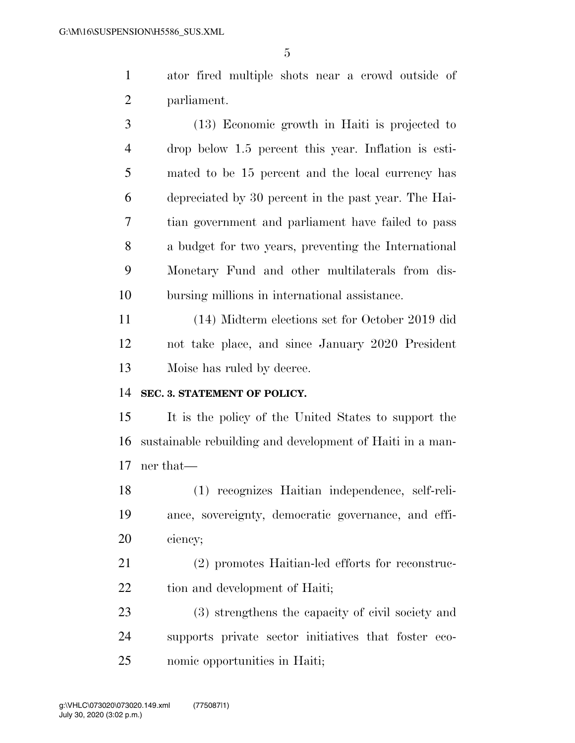ator fired multiple shots near a crowd outside of parliament.

 (13) Economic growth in Haiti is projected to drop below 1.5 percent this year. Inflation is esti- mated to be 15 percent and the local currency has depreciated by 30 percent in the past year. The Hai- tian government and parliament have failed to pass a budget for two years, preventing the International Monetary Fund and other multilaterals from dis-bursing millions in international assistance.

 (14) Midterm elections set for October 2019 did not take place, and since January 2020 President Moise has ruled by decree.

#### **SEC. 3. STATEMENT OF POLICY.**

 It is the policy of the United States to support the sustainable rebuilding and development of Haiti in a man-ner that—

 (1) recognizes Haitian independence, self-reli- ance, sovereignty, democratic governance, and effi-ciency;

 (2) promotes Haitian-led efforts for reconstruc-22 tion and development of Haiti;

 (3) strengthens the capacity of civil society and supports private sector initiatives that foster eco-nomic opportunities in Haiti;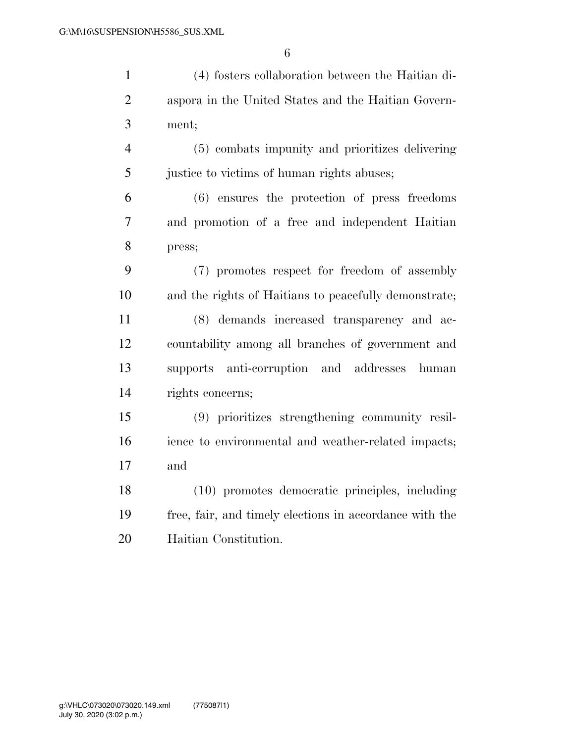| $\mathbf{1}$   | (4) fosters collaboration between the Haitian di-       |
|----------------|---------------------------------------------------------|
| $\overline{2}$ | aspora in the United States and the Haitian Govern-     |
| 3              | ment;                                                   |
| $\overline{4}$ | (5) combats impunity and prioritizes delivering         |
| 5              | justice to victims of human rights abuses;              |
| 6              | $(6)$ ensures the protection of press freedoms          |
| 7              | and promotion of a free and independent Haitian         |
| 8              | press;                                                  |
| 9              | (7) promotes respect for freedom of assembly            |
| 10             | and the rights of Haitians to peacefully demonstrate;   |
| 11             | (8) demands increased transparency and ac-              |
| 12             | countability among all branches of government and       |
| 13             | supports anti-corruption and addresses<br>human         |
| 14             | rights concerns;                                        |
| 15             | (9) prioritizes strengthening community resil-          |
| 16             | ience to environmental and weather-related impacts;     |
| 17             | and                                                     |
| 18             | (10) promotes democratic principles, including          |
| 19             | free, fair, and timely elections in accordance with the |
| 20             | Haitian Constitution.                                   |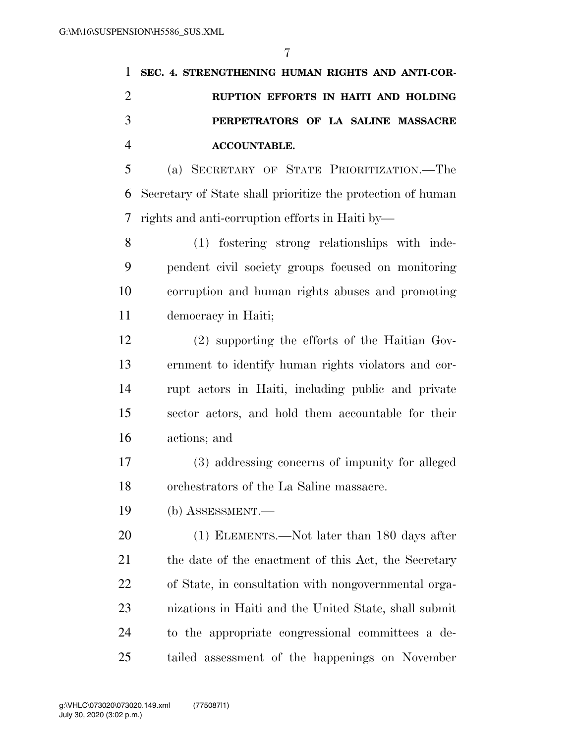|   | 1 SEC. 4. STRENGTHENING HUMAN RIGHTS AND ANTI-COR- |
|---|----------------------------------------------------|
|   | RUPTION EFFORTS IN HAITI AND HOLDING               |
| 3 | PERPETRATORS OF LA SALINE MASSACRE                 |
|   | <b>ACCOUNTABLE.</b>                                |

 (a) SECRETARY OF STATE PRIORITIZATION.—The Secretary of State shall prioritize the protection of human rights and anti-corruption efforts in Haiti by—

 (1) fostering strong relationships with inde- pendent civil society groups focused on monitoring corruption and human rights abuses and promoting democracy in Haiti;

 (2) supporting the efforts of the Haitian Gov- ernment to identify human rights violators and cor- rupt actors in Haiti, including public and private sector actors, and hold them accountable for their actions; and

 (3) addressing concerns of impunity for alleged orchestrators of the La Saline massacre.

(b) ASSESSMENT.—

20 (1) ELEMENTS.—Not later than 180 days after 21 the date of the enactment of this Act, the Secretary of State, in consultation with nongovernmental orga- nizations in Haiti and the United State, shall submit to the appropriate congressional committees a de-tailed assessment of the happenings on November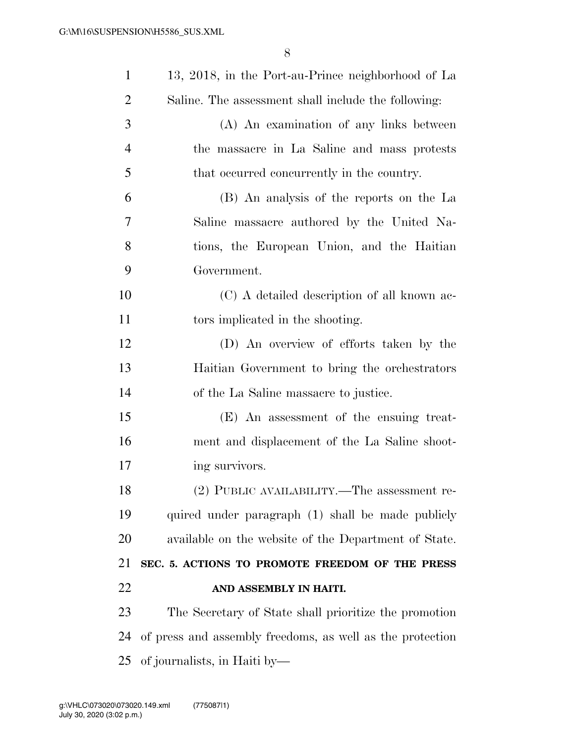| $\mathbf{1}$   | 13, 2018, in the Port-au-Prince neighborhood of La        |
|----------------|-----------------------------------------------------------|
| $\overline{2}$ | Saline. The assessment shall include the following:       |
| 3              | (A) An examination of any links between                   |
| $\overline{4}$ | the massacre in La Saline and mass protests               |
| 5              | that occurred concurrently in the country.                |
| 6              | (B) An analysis of the reports on the La                  |
| 7              | Saline massacre authored by the United Na-                |
| 8              | tions, the European Union, and the Haitian                |
| 9              | Government.                                               |
| 10             | (C) A detailed description of all known ac-               |
| 11             | tors implicated in the shooting.                          |
| 12             | (D) An overview of efforts taken by the                   |
| 13             | Haitian Government to bring the orchestrators             |
| 14             | of the La Saline massacre to justice.                     |
| 15             | (E) An assessment of the ensuing treat-                   |
| 16             | ment and displacement of the La Saline shoot-             |
| 17             | ing survivors.                                            |
| 18             | (2) PUBLIC AVAILABILITY.—The assessment re-               |
| 19             | quired under paragraph (1) shall be made publicly         |
| 20             | available on the website of the Department of State.      |
| 21             | SEC. 5. ACTIONS TO PROMOTE FREEDOM OF THE PRESS           |
| 22             | AND ASSEMBLY IN HAITI.                                    |
| 23             | The Secretary of State shall prioritize the promotion     |
| 24             | of press and assembly freedoms, as well as the protection |
| 25             | of journalists, in Haiti by-                              |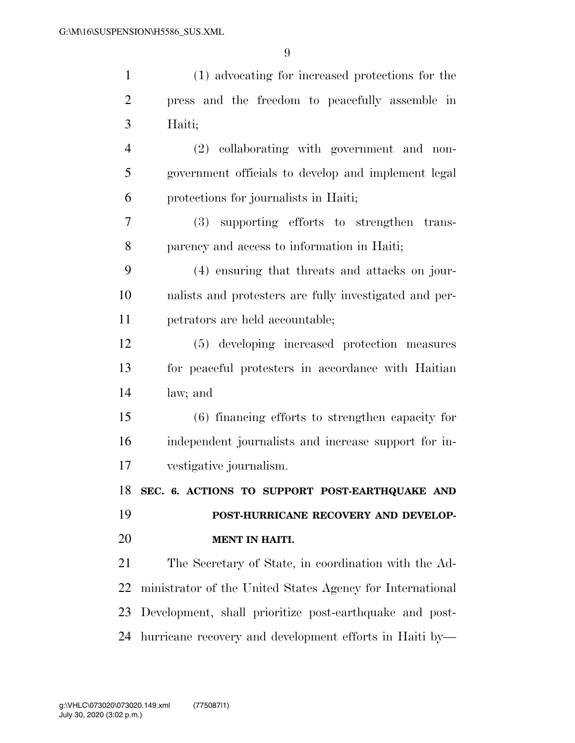| $\mathbf{1}$   | (1) advocating for increased protections for the          |
|----------------|-----------------------------------------------------------|
| $\overline{2}$ | press and the freedom to peacefully assemble in           |
| 3              | Haiti;                                                    |
| $\overline{4}$ | (2) collaborating with government and non-                |
| 5              | government officials to develop and implement legal       |
| 6              | protections for journalists in Haiti;                     |
| 7              | (3) supporting efforts to strengthen trans-               |
| 8              | parency and access to information in Haiti;               |
| 9              | (4) ensuring that threats and attacks on jour-            |
| 10             | nalists and protesters are fully investigated and per-    |
| 11             | petrators are held accountable;                           |
| 12             | (5) developing increased protection measures              |
| 13             | for peaceful protesters in accordance with Haitian        |
| 14             | law; and                                                  |
| 15             | (6) financing efforts to strengthen capacity for          |
| 16             | independent journalists and increase support for in-      |
| 17             | vestigative journalism.                                   |
|                | 18 SEC. 6. ACTIONS TO SUPPORT POST-EARTHQUAKE AND         |
| 19             | POST-HURRICANE RECOVERY AND DEVELOP-                      |
| 20             | <b>MENT IN HAITI.</b>                                     |
| 21             | The Secretary of State, in coordination with the Ad-      |
| 22             | ministrator of the United States Agency for International |
| 23             | Development, shall prioritize post-earthquake and post-   |
| 24             | hurricane recovery and development efforts in Haiti by—   |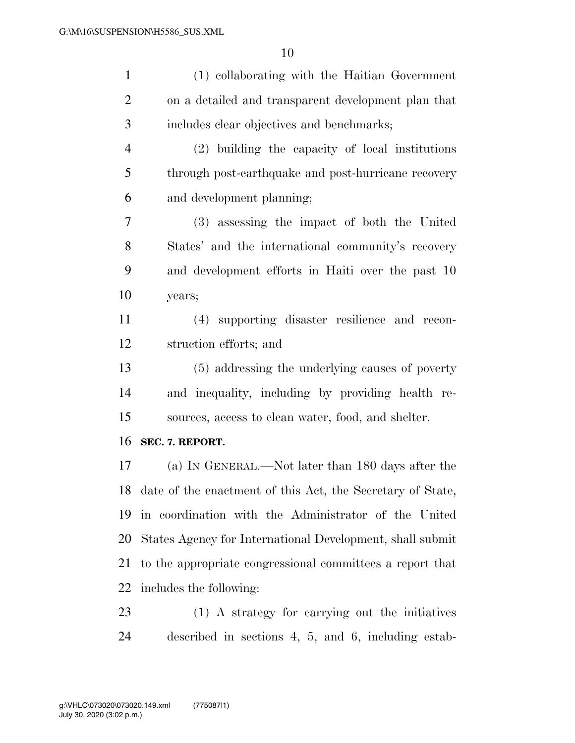| $\mathbf{1}$   | (1) collaborating with the Haitian Government              |
|----------------|------------------------------------------------------------|
| $\overline{2}$ | on a detailed and transparent development plan that        |
| 3              | includes clear objectives and benchmarks;                  |
| 4              | (2) building the capacity of local institutions            |
| 5              | through post-earthquake and post-hurricane recovery        |
| 6              | and development planning;                                  |
| $\tau$         | (3) assessing the impact of both the United                |
| 8              | States' and the international community's recovery         |
| 9              | and development efforts in Haiti over the past 10          |
| 10             | years;                                                     |
| 11             | (4) supporting disaster resilience and recon-              |
| 12             | struction efforts; and                                     |
| 13             | (5) addressing the underlying causes of poverty            |
| 14             | and inequality, including by providing health re-          |
| 15             | sources, access to clean water, food, and shelter.         |
| 16             | SEC. 7. REPORT.                                            |
| 17             | (a) IN GENERAL.—Not later than 180 days after the          |
| 18             | date of the enactment of this Act, the Secretary of State, |
| 19             | in coordination with the Administrator of the United       |
| 20             | States Agency for International Development, shall submit  |
| 21             |                                                            |
|                | to the appropriate congressional committees a report that  |
| 22             | includes the following:                                    |
| 23             | (1) A strategy for carrying out the initiatives            |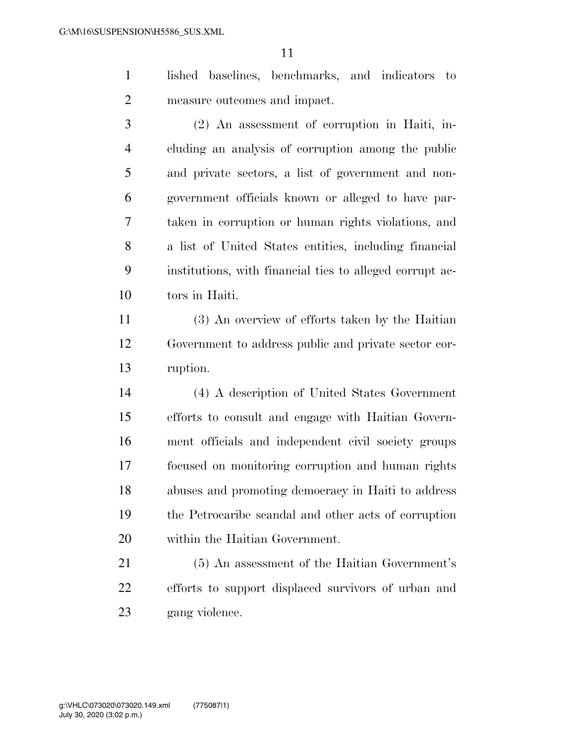- lished baselines, benchmarks, and indicators to measure outcomes and impact.
- (2) An assessment of corruption in Haiti, in- cluding an analysis of corruption among the public and private sectors, a list of government and non- government officials known or alleged to have par- taken in corruption or human rights violations, and a list of United States entities, including financial institutions, with financial ties to alleged corrupt ac-tors in Haiti.
- (3) An overview of efforts taken by the Haitian Government to address public and private sector cor-ruption.
- (4) A description of United States Government efforts to consult and engage with Haitian Govern- ment officials and independent civil society groups focused on monitoring corruption and human rights abuses and promoting democracy in Haiti to address the Petrocaribe scandal and other acts of corruption within the Haitian Government.
- (5) An assessment of the Haitian Government's efforts to support displaced survivors of urban and gang violence.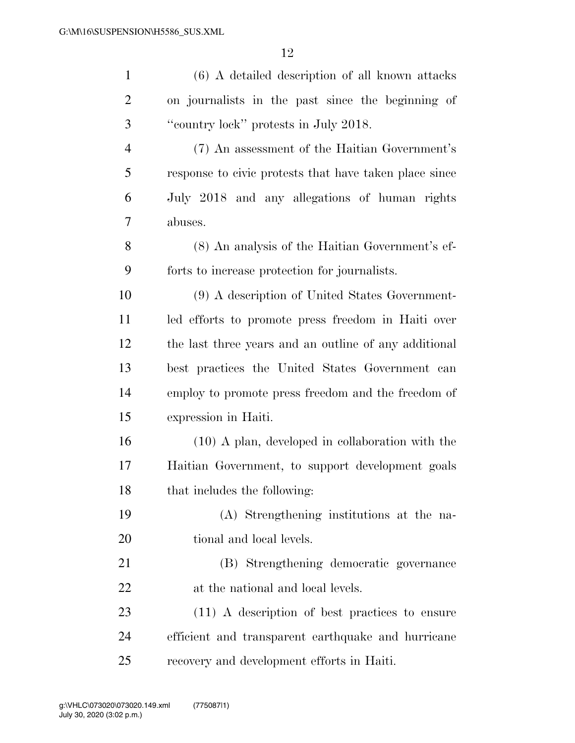| $\mathbf{1}$   | (6) A detailed description of all known attacks        |
|----------------|--------------------------------------------------------|
| $\overline{2}$ | on journalists in the past since the beginning of      |
| 3              | "country lock" protests in July 2018.                  |
| $\overline{4}$ | (7) An assessment of the Haitian Government's          |
| 5              | response to civic protests that have taken place since |
| 6              | July 2018 and any allegations of human rights          |
| 7              | abuses.                                                |
| 8              | (8) An analysis of the Haitian Government's ef-        |
| 9              | forts to increase protection for journalists.          |
| 10             | (9) A description of United States Government-         |
| 11             | led efforts to promote press freedom in Haiti over     |
| 12             | the last three years and an outline of any additional  |
| 13             | best practices the United States Government can        |
| 14             | employ to promote press freedom and the freedom of     |
| 15             | expression in Haiti.                                   |
| 16             | $(10)$ A plan, developed in collaboration with the     |
| 17             | Haitian Government, to support development goals       |
| 18             | that includes the following:                           |
| 19             | (A) Strengthening institutions at the na-              |
| 20             | tional and local levels.                               |
| 21             | (B) Strengthening democratic governance                |
| 22             | at the national and local levels.                      |
| 23             | $(11)$ A description of best practices to ensure       |
| 24             | efficient and transparent earthquake and hurricane     |
| 25             | recovery and development efforts in Haiti.             |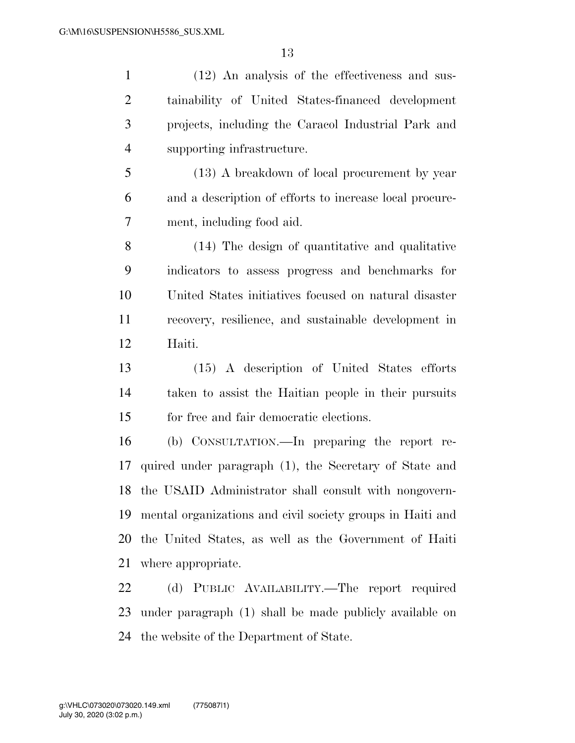(12) An analysis of the effectiveness and sus- tainability of United States-financed development projects, including the Caracol Industrial Park and supporting infrastructure. (13) A breakdown of local procurement by year and a description of efforts to increase local procure- ment, including food aid. (14) The design of quantitative and qualitative indicators to assess progress and benchmarks for United States initiatives focused on natural disaster recovery, resilience, and sustainable development in Haiti. (15) A description of United States efforts taken to assist the Haitian people in their pursuits for free and fair democratic elections. (b) CONSULTATION.—In preparing the report re- quired under paragraph (1), the Secretary of State and the USAID Administrator shall consult with nongovern- mental organizations and civil society groups in Haiti and the United States, as well as the Government of Haiti where appropriate. (d) PUBLIC AVAILABILITY.—The report required under paragraph (1) shall be made publicly available on

the website of the Department of State.